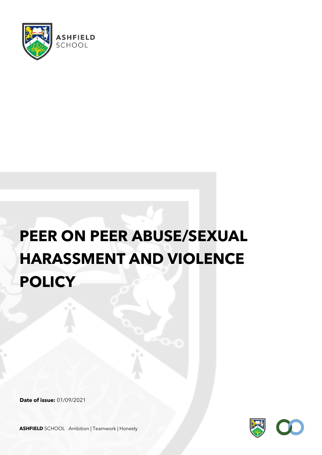

# **PEER ON PEER ABUSE/SEXUAL HARASSMENT AND VIOLENCE POLICY**

**Date of issue:** 01/09/2021



**ASHFIELD** SCHOOL Ambition | Teamwork | Honesty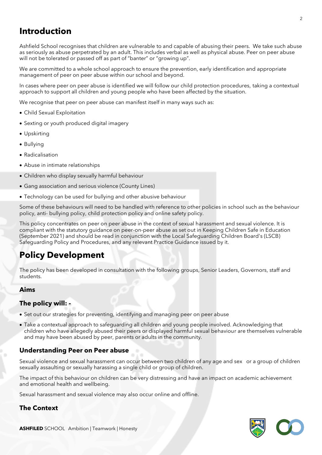# **Introduction**

Ashfield School recognises that children are vulnerable to and capable of abusing their peers. We take such abuse as seriously as abuse perpetrated by an adult. This includes verbal as well as physical abuse. Peer on peer abuse will not be tolerated or passed off as part of "banter" or "growing up".

We are committed to a whole school approach to ensure the prevention, early identification and appropriate management of peer on peer abuse within our school and beyond.

In cases where peer on peer abuse is identified we will follow our child protection procedures, taking a contextual approach to support all children and young people who have been affected by the situation.

We recognise that peer on peer abuse can manifest itself in many ways such as:

- Child Sexual Exploitation
- Sexting or youth produced digital imagery
- Upskirting
- Bullying
- Radicalisation
- Abuse in intimate relationships
- Children who display sexually harmful behaviour
- Gang association and serious violence (County Lines)
- Technology can be used for bullying and other abusive behaviour

Some of these behaviours will need to be handled with reference to other policies in school such as the behaviour policy, anti- bullying policy, child protection policy and online safety policy.

This policy concentrates on peer on peer abuse in the context of sexual harassment and sexual violence. It is compliant with the statutory guidance on peer-on-peer abuse as set out in Keeping Children Safe in Education (September 2021) and should be read in conjunction with the Local Safeguarding Children Board's (LSCB) Safeguarding Policy and Procedures, and any relevant Practice Guidance issued by it.

# **Policy Development**

The policy has been developed in consultation with the following groups, Senior Leaders, Governors, staff and students.

#### **Aims**

## **The policy will: -**

- Set out our strategies for preventing, identifying and managing peer on peer abuse
- Take a contextual approach to safeguarding all children and young people involved. Acknowledging that children who have allegedly abused their peers or displayed harmful sexual behaviour are themselves vulnerable and may have been abused by peer, parents or adults in the community.

#### **Understanding Peer on Peer abuse**

Sexual violence and sexual harassment can occur between two children of any age and sex or a group of children sexually assaulting or sexually harassing a single child or group of children.

The impact of this behaviour on children can be very distressing and have an impact on academic achievement and emotional health and wellbeing.

Sexual harassment and sexual violence may also occur online and offline.

#### **The Context**



2

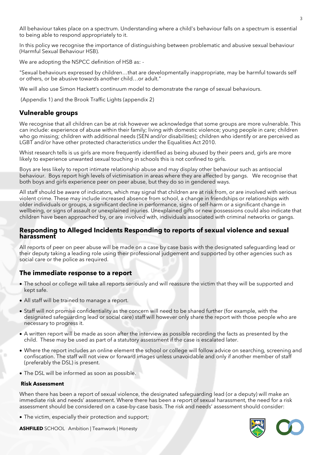All behaviour takes place on a spectrum. Understanding where a child's behaviour falls on a spectrum is essential to being able to respond appropriately to it.

In this policy we recognise the importance of distinguishing between problematic and abusive sexual behaviour (Harmful Sexual Behaviour HSB).

We are adopting the NSPCC definition of HSB as: -

"Sexual behaviours expressed by children…that are developmentally inappropriate, may be harmful towards self or others, or be abusive towards another child…or adult."

We will also use Simon Hackett's continuum model to demonstrate the range of sexual behaviours.

(Appendix 1) and the Brook Traffic Lights (appendix 2)

#### **Vulnerable groups**

We recognise that all children can be at risk however we acknowledge that some groups are more vulnerable. This can include: experience of abuse within their family; living with domestic violence; young people in care; children who go missing; children with additional needs (SEN and/or disabilities); children who identify or are perceived as LGBT and/or have other protected characteristics under the Equalities Act 2010.

Whist research tells is us girls are more frequently identified as being abused by their peers and, girls are more likely to experience unwanted sexual touching in schools this is not confined to girls.

Boys are less likely to report intimate relationship abuse and may display other behaviour such as antisocial behaviour. Boys report high levels of victimisation in areas where they are affected by gangs. We recognise that both boys and girls experience peer on peer abuse, but they do so in gendered ways.

All staff should be aware of indicators, which may signal that children are at risk from, or are involved with serious violent crime. These may include increased absence from school, a change in friendships or relationships with older individuals or groups, a significant decline in performance, signs of self-harm or a significant change in wellbeing, or signs of assault or unexplained injuries. Unexplained gifts or new possessions could also indicate that children have been approached by, or are involved with, individuals associated with criminal networks or gangs.

#### **Responding to Alleged Incidents Responding to reports of sexual violence and sexual harassment**

All reports of peer on peer abuse will be made on a case by case basis with the designated safeguarding lead or their deputy taking a leading role using their professional judgement and supported by other agencies such as social care or the police as required.

#### **The immediate response to a report**

- The school or college will take all reports seriously and will reassure the victim that they will be supported and kept safe.
- All staff will be trained to manage a report.
- Staff will not promise confidentiality as the concern will need to be shared further (for example, with the designated safeguarding lead or social care) staff will however only share the report with those people who are necessary to progress it.
- A written report will be made as soon after the interview as possible recording the facts as presented by the child. These may be used as part of a statutory assessment if the case is escalated later.
- Where the report includes an online element the school or college will follow advice on searching, screening and confiscation. The staff will not view or forward images unless unavoidable and only if another member of staff (preferably the DSL) is present.
- The DSL will be informed as soon as possible.

#### **Risk Assessment**

When there has been a report of sexual violence, the designated safeguarding lead (or a deputy) will make an immediate risk and needs' assessment. Where there has been a report of sexual harassment, the need for a risk assessment should be considered on a case-by-case basis. The risk and needs' assessment should consider:

• The victim, especially their protection and support;



**ASHFILED** SCHOOL Ambition | Teamwork | Honesty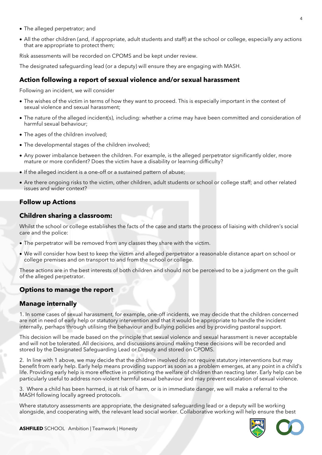- The alleged perpetrator; and
- All the other children (and, if appropriate, adult students and staff) at the school or college, especially any actions that are appropriate to protect them;

Risk assessments will be recorded on CPOMS and be kept under review.

The designated safeguarding lead (or a deputy) will ensure they are engaging with MASH.

## **Action following a report of sexual violence and/or sexual harassment**

Following an incident, we will consider

- The wishes of the victim in terms of how they want to proceed. This is especially important in the context of sexual violence and sexual harassment;
- The nature of the alleged incident(s), including: whether a crime may have been committed and consideration of harmful sexual behaviour;
- The ages of the children involved;
- The developmental stages of the children involved;
- Any power imbalance between the children. For example, is the alleged perpetrator significantly older, more mature or more confident? Does the victim have a disability or learning difficulty?
- If the alleged incident is a one-off or a sustained pattern of abuse;
- Are there ongoing risks to the victim, other children, adult students or school or college staff; and other related issues and wider context?

## **Follow up Actions**

#### **Children sharing a classroom:**

Whilst the school or college establishes the facts of the case and starts the process of liaising with children's social care and the police:

- The perpetrator will be removed from any classes they share with the victim.
- We will consider how best to keep the victim and alleged perpetrator a reasonable distance apart on school or college premises and on transport to and from the school or college.

These actions are in the best interests of both children and should not be perceived to be a judgment on the guilt of the alleged perpetrator.

#### **Options to manage the report**

## **Manage internally**

1. In some cases of sexual harassment, for example, one-off incidents, we may decide that the children concerned are not in need of early help or statutory intervention and that it would be appropriate to handle the incident internally, perhaps through utilising the behaviour and bullying policies and by providing pastoral support.

This decision will be made based on the principle that sexual violence and sexual harassment is never acceptable and will not be tolerated. All decisions, and discussions around making these decisions will be recorded and stored by the Designated Safeguarding Lead or Deputy and stored on CPOMS.

2. In line with 1 above, we may decide that the children involved do not require statutory interventions but may benefit from early help. Early help means providing support as soon as a problem emerges, at any point in a child's life. Providing early help is more effective in promoting the welfare of children than reacting later. Early help can be particularly useful to address non-violent harmful sexual behaviour and may prevent escalation of sexual violence.

3. Where a child has been harmed, is at risk of harm, or is in immediate danger, we will make a referral to the MASH following locally agreed protocols.

Where statutory assessments are appropriate, the designated safeguarding lead or a deputy will be working alongside, and cooperating with, the relevant lead social worker. Collaborative working will help ensure the best

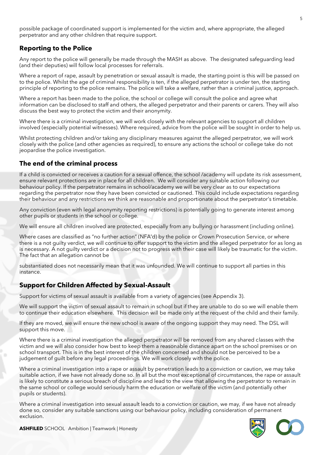possible package of coordinated support is implemented for the victim and, where appropriate, the alleged perpetrator and any other children that require support.

# **Reporting to the Police**

Any report to the police will generally be made through the MASH as above. The designated safeguarding lead (and their deputies) will follow local processes for referrals.

Where a report of rape, assault by penetration or sexual assault is made, the starting point is this will be passed on to the police. Whilst the age of criminal responsibility is ten, if the alleged perpetrator is under ten, the starting principle of reporting to the police remains. The police will take a welfare, rather than a criminal justice, approach.

Where a report has been made to the police, the school or college will consult the police and agree what information can be disclosed to staff and others, the alleged perpetrator and their parents or carers. They will also discuss the best way to protect the victim and their anonymity.

Where there is a criminal investigation, we will work closely with the relevant agencies to support all children involved (especially potential witnesses). Where required, advice from the police will be sought in order to help us.

Whilst protecting children and/or taking any disciplinary measures against the alleged perpetrator, we will work closely with the police (and other agencies as required), to ensure any actions the school or college take do not jeopardise the police investigation.

# **The end of the criminal process**

If a child is convicted or receives a caution for a sexual offence, the school /academy will update its risk assessment, ensure relevant protections are in place for all children. We will consider any suitable action following our behaviour policy. If the perpetrator remains in school/academy we will be very clear as to our expectations regarding the perpetrator now they have been convicted or cautioned. This could include expectations regarding their behaviour and any restrictions we think are reasonable and proportionate about the perpetrator's timetable.

Any conviction (even with legal anonymity reporting restrictions) is potentially going to generate interest among other pupils or students in the school or college.

We will ensure all children involved are protected, especially from any bullying or harassment (including online).

Where cases are classified as "no further action" (NFA'd) by the police or Crown Prosecution Service, or where there is a not guilty verdict, we will continue to offer support to the victim and the alleged perpetrator for as long as is necessary. A not guilty verdict or a decision not to progress with their case will likely be traumatic for the victim. The fact that an allegation cannot be

substantiated does not necessarily mean that it was unfounded. We will continue to support all parties in this instance.

# **Support for Children Affected by Sexual-Assault**

Support for victims of sexual assault is available from a variety of agencies (see Appendix 3).

We will support the victim of sexual assault to remain in school but if they are unable to do so we will enable them to continue their education elsewhere. This decision will be made only at the request of the child and their family.

If they are moved, we will ensure the new school is aware of the ongoing support they may need. The DSL will support this move.

Where there is a criminal investigation the alleged perpetrator will be removed from any shared classes with the victim and we will also consider how best to keep them a reasonable distance apart on the school premises or on school transport. This is in the best interest of the children concerned and should not be perceived to be a judgement of guilt before any legal proceedings. We will work closely with the police.

Where a criminal investigation into a rape or assault by penetration leads to a conviction or caution, we may take suitable action, if we have not already done so. In all but the most exceptional of circumstances, the rape or assault is likely to constitute a serious breach of discipline and lead to the view that allowing the perpetrator to remain in the same school or college would seriously harm the education or welfare of the victim (and potentially other pupils or students).

Where a criminal investigation into sexual assault leads to a conviction or caution, we may, if we have not already done so, consider any suitable sanctions using our behaviour policy, including consideration of permanent exclusion.



**ASHFILED** SCHOOL Ambition | Teamwork | Honesty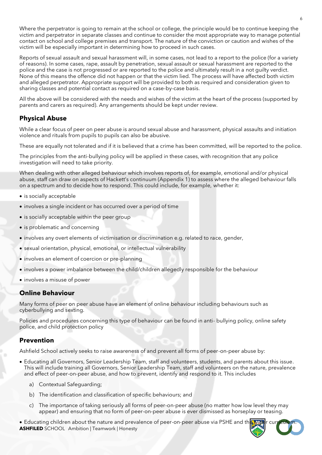Where the perpetrator is going to remain at the school or college, the principle would be to continue keeping the victim and perpetrator in separate classes and continue to consider the most appropriate way to manage potential contact on school and college premises and transport. The nature of the conviction or caution and wishes of the victim will be especially important in determining how to proceed in such cases.

Reports of sexual assault and sexual harassment will, in some cases, not lead to a report to the police (for a variety of reasons). In some cases, rape, assault by penetration, sexual assault or sexual harassment are reported to the police and the case is not progressed or are reported to the police and ultimately result in a not guilty verdict. None of this means the offence did not happen or that the victim lied. The process will have affected both victim and alleged perpetrator. Appropriate support will be provided to both as required and consideration given to sharing classes and potential contact as required on a case-by-case basis.

All the above will be considered with the needs and wishes of the victim at the heart of the process (supported by parents and carers as required). Any arrangements should be kept under review.

# **Physical Abuse**

While a clear focus of peer on peer abuse is around sexual abuse and harassment, physical assaults and initiation violence and rituals from pupils to pupils can also be abusive.

These are equally not tolerated and if it is believed that a crime has been committed, will be reported to the police.

The principles from the anti-bullying policy will be applied in these cases, with recognition that any police investigation will need to take priority.

When dealing with other alleged behaviour which involves reports of, for example, emotional and/or physical abuse, staff can draw on aspects of Hackett's continuum (Appendix 1) to assess where the alleged behaviour falls on a spectrum and to decide how to respond. This could include, for example, whether it:

- is socially acceptable
- involves a single incident or has occurred over a period of time
- is socially acceptable within the peer group
- is problematic and concerning
- involves any overt elements of victimisation or discrimination e.g. related to race, gender,
- sexual orientation, physical, emotional, or intellectual vulnerability
- involves an element of coercion or pre-planning
- involves a power imbalance between the child/children allegedly responsible for the behaviour
- involves a misuse of power

## **Online Behaviour**

Many forms of peer on peer abuse have an element of online behaviour including behaviours such as cyberbullying and sexting.

Policies and procedures concerning this type of behaviour can be found in anti- bullying policy, online safety police, and child protection policy

## **Prevention**

Ashfield School actively seeks to raise awareness of and prevent all forms of peer-on-peer abuse by:

- Educating all Governors, Senior Leadership Team, staff and volunteers, students, and parents about this issue. This will include training all Governors, Senior Leadership Team, staff and volunteers on the nature, prevalence and effect of peer-on-peer abuse, and how to prevent, identify and respond to it. This includes
	- a) Contextual Safeguarding;
	- b) The identification and classification of specific behaviours; and
	- c) The importance of taking seriously all forms of peer-on-peer abuse (no matter how low level they may appear) and ensuring that no form of peer-on-peer abuse is ever dismissed as horseplay or teasing.

**ASHFILED** SCHOOL Ambition | Teamwork | Honesty • Educating children about the nature and prevalence of peer-on-peer abuse via PSHE and the wid

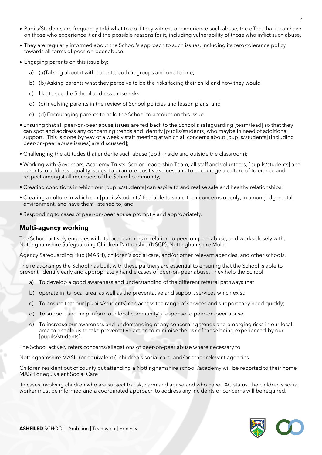- Pupils/Students are frequently told what to do if they witness or experience such abuse, the effect that it can have on those who experience it and the possible reasons for it, including vulnerability of those who inflict such abuse.
- They are regularly informed about the School's approach to such issues, including its zero-tolerance policy towards all forms of peer-on-peer abuse.
- Engaging parents on this issue by:
	- a) (a)Talking about it with parents, both in groups and one to one;
	- b) (b) Asking parents what they perceive to be the risks facing their child and how they would
	- c) like to see the School address those risks;
	- d) (c) Involving parents in the review of School policies and lesson plans; and
	- e) (d) Encouraging parents to hold the School to account on this issue.
- Ensuring that all peer-on-peer abuse issues are fed back to the School's safeguarding [team/lead] so that they can spot and address any concerning trends and identify [pupils/students] who maybe in need of additional support. [This is done by way of a weekly staff meeting at which all concerns about [pupils/students] (including peer-on-peer abuse issues) are discussed];
- Challenging the attitudes that underlie such abuse (both inside and outside the classroom);
- Working with Governors, Academy Trusts, Senior Leadership Team, all staff and volunteers, [pupils/students] and parents to address equality issues, to promote positive values, and to encourage a culture of tolerance and respect amongst all members of the School community;
- Creating conditions in which our [pupils/students] can aspire to and realise safe and healthy relationships;
- Creating a culture in which our [pupils/students] feel able to share their concerns openly, in a non-judgmental environment, and have them listened to; and
- Responding to cases of peer-on-peer abuse promptly and appropriately.

# **Multi-agency working**

The School actively engages with its local partners in relation to peer-on-peer abuse, and works closely with, Nottinghamshire Safeguarding Children Partnership (NSCP), Nottinghamshire Multi-

Agency Safeguarding Hub (MASH), children's social care, and/or other relevant agencies, and other schools.

The relationships the School has built with these partners are essential to ensuring that the School is able to prevent, identify early and appropriately handle cases of peer-on-peer abuse. They help the School

- a) To develop a good awareness and understanding of the different referral pathways that
- b) operate in its local area, as well as the preventative and support services which exist;
- c) To ensure that our [pupils/students] can access the range of services and support they need quickly;
- d) To support and help inform our local community's response to peer-on-peer abuse;
- e) To increase our awareness and understanding of any concerning trends and emerging risks in our local area to enable us to take preventative action to minimise the risk of these being experienced by our [pupils/students].

The School actively refers concerns/allegations of peer-on-peer abuse where necessary to

Nottinghamshire MASH (or equivalent)], children's social care, and/or other relevant agencies.

Children resident out of county but attending a Nottinghamshire school /academy will be reported to their home MASH or equivalent Social Care

In cases involving children who are subject to risk, harm and abuse and who have LAC status, the children's social worker must be informed and a coordinated approach to address any incidents or concerns will be required.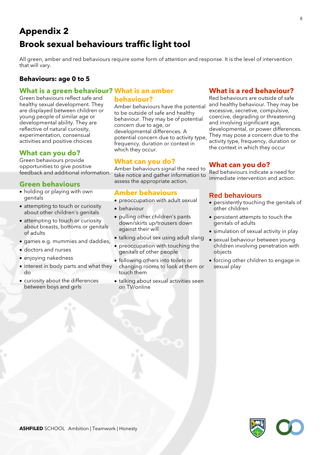# **Appendix 2 Brook sexual behaviours traffic light tool**

All green, amber and red behaviours require some form of attention and response. It is the level of intervention that will vary.

# **Behaviours: age 0 to 5**

# **What is a green behaviour? What is an amber**

Green behaviours reflect safe and healthy sexual development. They are displayed between children or young people of similar age or developmental ability. They are reflective of natural curiosity, experimentation, consensual activities and positive choices

# **What can you do?**

Green behaviours provide opportunities to give positive feedback and additional information.

# **Green behaviours**

- holding or playing with own genitals
- attempting to touch or curiosity about other children's genitals
- attempting to touch or curiosity about breasts, bottoms or genitals of adults
- games e.g. mummies and daddies,
- doctors and nurses
- enjoying nakedness
- interest in body parts and what they do
- curiosity about the differences between boys and girls

# **behaviour?**

Amber behaviours have the potential to be outside of safe and healthy behaviour. They may be of potential concern due to age, or developmental differences. A potential concern due to activity type, frequency, duration or context in which they occur.

# **What can you do?**

Amber behaviours signal the need to take notice and gather information to assess the appropriate action.

# **Amber behaviours**

- preoccupation with adult sexual
- behaviour
- pulling other children's pants down/skirts up/trousers down against their will
- talking about sex using adult slang
- preoccupation with touching the genitals of other people
- following others into toilets or changing rooms to look at them or touch them
- talking about sexual activities seen on TV/online

# **What is a red behaviour?**

Red behaviours are outside of safe and healthy behaviour. They may be excessive, secretive, compulsive, coercive, degrading or threatening and involving significant age, developmental, or power differences. They may pose a concern due to the activity type, frequency, duration or the context in which they occur

# **What can you do?**

Red behaviours indicate a need for immediate intervention and action.

# **Red behaviours**

- persistently touching the genitals of other children
- persistent attempts to touch the genitals of adults
- simulation of sexual activity in play
- sexual behaviour between young children involving penetration with objects
- forcing other children to engage in sexual play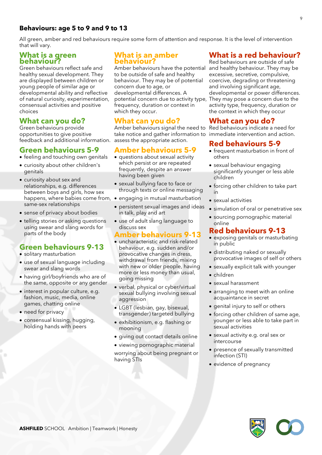# **Behaviours: age 5 to 9 and 9 to 13**

All green, amber and red behaviours require some form of attention and response. It is the level of intervention that will vary.

### **What is a green behaviour?**

Green behaviours reflect safe and healthy sexual development. They are displayed between children or young people of similar age or developmental ability and reflective of natural curiosity, experimentation, consensual activities and positive choices

# **What can you do?**

Green behaviours provide opportunities to give positive feedback and additional information. assess the appropriate action.

# **Green behaviours 5-9**

- feeling and touching own genitals
- curiosity about other children's genitals
- curiosity about sex and relationships, e.g. differences between boys and girls, how sex happens, where babies come from, • engaging in mutual masturbation same-sex relationships
- sense of privacy about bodies
- telling stories or asking questions using swear and slang words for parts of the body

# **Green behaviours 9-13**

- solitary masturbation
- use of sexual language including swear and slang words
- having girl/boyfriends who are of the same, opposite or any gender
- interest in popular culture, e.g. fashion, music, media, online games, chatting online
- need for privacy
- consensual kissing, hugging, holding hands with peers

## **What is an amber behaviour?**

Amber behaviours have the potential to be outside of safe and healthy behaviour. They may be of potential concern due to age, or developmental differences. A potential concern due to activity type, They may pose a concern due to the frequency, duration or context in which they occur.

# **What can you do?**

Amber behaviours signal the need to Red behaviours indicate a need for take notice and gather information to immediate intervention and action.

# **Amber behaviours 5-9**

- questions about sexual activity which persist or are repeated frequently, despite an answer having been given
- sexual bullying face to face or through texts or online messaging
- 
- persistent sexual images and ideas in talk, play and art
- use of adult slang language to discuss sex

# **Amber behaviours 9-13**

- uncharacteristic and risk-related behaviour, e.g. sudden and/or provocative changes in dress, withdrawal from friends, mixing with new or older people, having more or less money than usual, going missing
- verbal, physical or cyber/virtual sexual bullying involving sexual aggression
- LGBT (lesbian, gay, bisexual, transgender) targeted bullying
- exhibitionism, e.g. flashing or mooning
- giving out contact details online
- viewing pornographic material worrying about being pregnant or having STIs

# **What is a red behaviour?**

Red behaviours are outside of safe and healthy behaviour. They may be excessive, secretive, compulsive, coercive, degrading or threatening and involving significant age, developmental or power differences. activity type, frequency, duration or the context in which they occur

# **What can you do?**

# **Red behaviours 5-9**

- frequent masturbation in front of others
- sexual behaviour engaging significantly younger or less able children
- forcing other children to take part in
- sexual activities
- simulation of oral or penetrative sex
- sourcing pornographic material online

# **Red behaviours 9-13**

- exposing genitals or masturbating in public
- distributing naked or sexually provocative images of self or others
- sexually explicit talk with younger
- children
- sexual harassment
- arranging to meet with an online acquaintance in secret
- genital injury to self or others
- forcing other children of same age, younger or less able to take part in sexual activities
- sexual activity e.g. oral sex or intercourse
- presence of sexually transmitted infection (STI)
- evidence of pregnancy

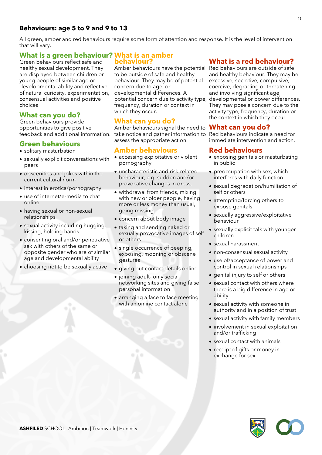# **Behaviours: age 5 to 9 and 9 to 13**

All green, amber and red behaviours require some form of attention and response. It is the level of intervention that will vary.

# **What is a green behaviour? What is an amber**

**behaviour?**

Green behaviours reflect safe and healthy sexual development. They are displayed between children or young people of similar age or developmental ability and reflective of natural curiosity, experimentation, consensual activities and positive choices

# **What can you do?**

Green behaviours provide opportunities to give positive

# **Green behaviours**

- solitary masturbation
- sexually explicit conversations with peers
- obscenities and jokes within the current cultural norm
- interest in erotica/pornography
- use of internet/e-media to chat online
- having sexual or non-sexual relationships
- sexual activity including hugging, kissing, holding hands
- consenting oral and/or penetrative sex with others of the same or opposite gender who are of similar age and developmental ability
- choosing not to be sexually active

Amber behaviours have the potential to be outside of safe and healthy behaviour. They may be of potential concern due to age, or developmental differences. A frequency, duration or context in which they occur.

# **What can you do?**

feedback and additional information. take notice and gather information to Red behaviours indicate a need for Amber behaviours signal the need to **What can you do?** assess the appropriate action.

## **Amber behaviours**

- accessing exploitative or violent pornography
- uncharacteristic and risk-related behaviour, e.g. sudden and/or provocative changes in dress,
- withdrawal from friends, mixing with new or older people, having more or less money than usual, going missing
- concern about body image
- taking and sending naked or sexually provocative images of self or others
- single occurrence of peeping, exposing, mooning or obscene gestures
- giving out contact details online
- joining adult- only social networking sites and giving false personal information
- arranging a face to face meeting with an online contact alone

# **What is a red behaviour?**

potential concern due to activity type, developmental or power differences. Red behaviours are outside of safe and healthy behaviour. They may be excessive, secretive, compulsive, coercive, degrading or threatening and involving significant age, They may pose a concern due to the activity type, frequency, duration or the context in which they occur

immediate intervention and action.

## **Red behaviours**

- exposing genitals or masturbating in public
- preoccupation with sex, which interferes with daily function
- sexual degradation/humiliation of self or others
- attempting/forcing others to expose genitals
- sexually aggressive/exploitative behaviour
- sexually explicit talk with younger children
- sexual harassment
- non-consensual sexual activity
- use of/acceptance of power and control in sexual relationships
- genital injury to self or others
- sexual contact with others where there is a big difference in age or ability
- sexual activity with someone in authority and in a position of trust
- sexual activity with family members
- involvement in sexual exploitation and/or trafficking
- sexual contact with animals
- receipt of gifts or money in exchange for sex

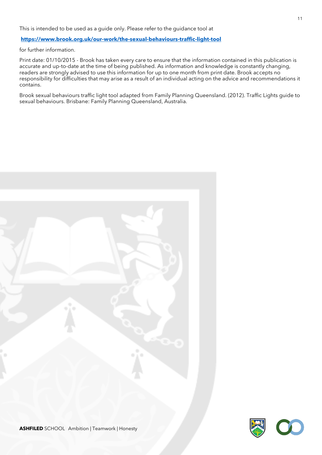#### **<https://www.brook.org.uk/our-work/the-sexual-behaviours-traffic-light-tool>**

for further information.

Print date: 01/10/2015 - Brook has taken every care to ensure that the information contained in this publication is accurate and up-to-date at the time of being published. As information and knowledge is constantly changing, readers are strongly advised to use this information for up to one month from print date. Brook accepts no responsibility for difficulties that may arise as a result of an individual acting on the advice and recommendations it contains.

Brook sexual behaviours traffic light tool adapted from Family Planning Queensland. (2012). Traffic Lights guide to sexual behaviours. Brisbane: Family Planning Queensland, Australia.